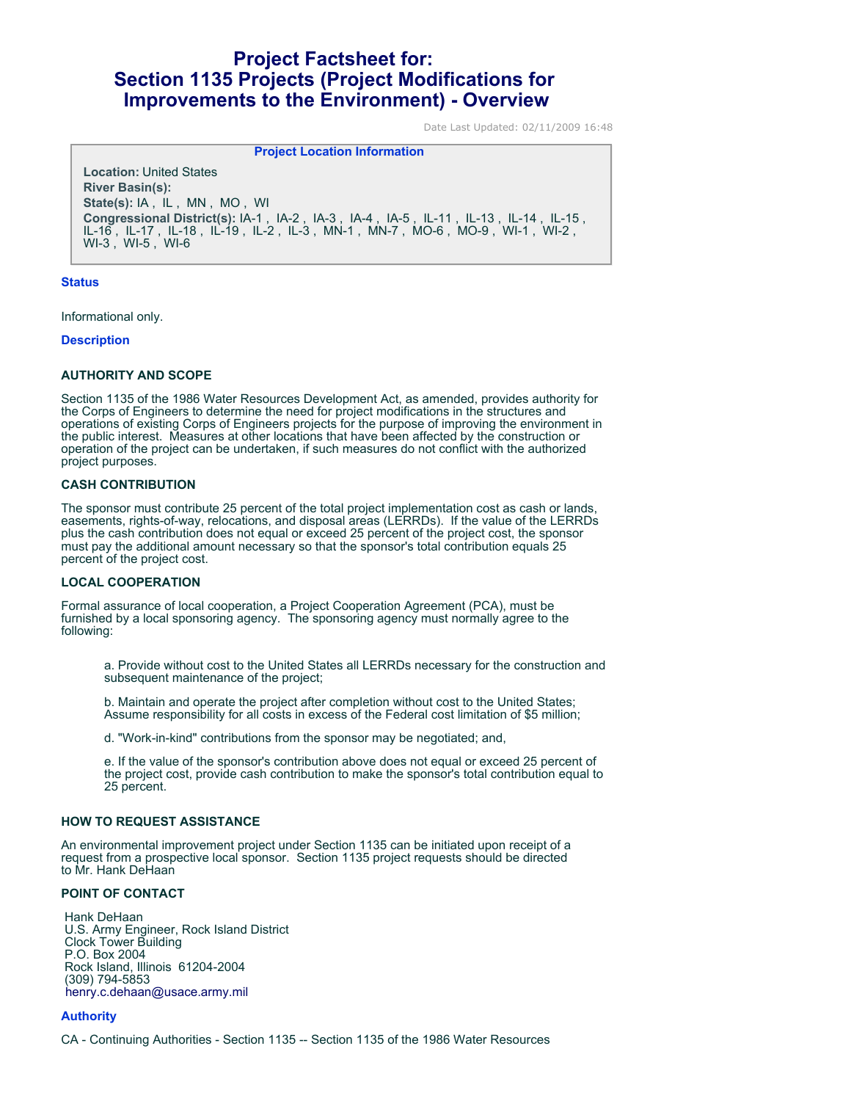# **Project Factsheet for: Section 1135 Projects (Project Modifications for Improvements to the Environment) - Overview**

Date Last Updated: 02/11/2009 16:48

**Project Location Information** 

**Location:** United States **River Basin(s): State(s):** IA , IL , MN , MO , WI **Congressional District(s):** IA-1 , IA-2 , IA-3 , IA-4 , IA-5 , IL-11 , IL-13 , IL-14 , IL-15 , IL-16 , IL-17 , IL-18 , IL-19 , IL-2 , IL-3 , MN-1 , MN-7 , MO-6 , MO-9 , WI-1 , WI-2 , WI-3 , WI-5 , WI-6

## **Status**

Informational only.

#### **Description**

## **AUTHORITY AND SCOPE**

Section 1135 of the 1986 Water Resources Development Act, as amended, provides authority for the Corps of Engineers to determine the need for project modifications in the structures and operations of existing Corps of Engineers projects for the purpose of improving the environment in the public interest. Measures at other locations that have been affected by the construction or operation of the project can be undertaken, if such measures do not conflict with the authorized project purposes.

#### **CASH CONTRIBUTION**

The sponsor must contribute 25 percent of the total project implementation cost as cash or lands, easements, rights-of-way, relocations, and disposal areas (LERRDs). If the value of the LERRDs plus the cash contribution does not equal or exceed 25 percent of the project cost, the sponsor must pay the additional amount necessary so that the sponsor's total contribution equals 25 percent of the project cost.

## **LOCAL COOPERATION**

Formal assurance of local cooperation, a Project Cooperation Agreement (PCA), must be furnished by a local sponsoring agency. The sponsoring agency must normally agree to the following:

a. Provide without cost to the United States all LERRDs necessary for the construction and subsequent maintenance of the project;

b. Maintain and operate the project after completion without cost to the United States; Assume responsibility for all costs in excess of the Federal cost limitation of \$5 million;

d. "Work-in-kind" contributions from the sponsor may be negotiated; and,

e. If the value of the sponsor's contribution above does not equal or exceed 25 percent of the project cost, provide cash contribution to make the sponsor's total contribution equal to 25 percent.

## **HOW TO REQUEST ASSISTANCE**

An environmental improvement project under Section 1135 can be initiated upon receipt of a request from a prospective local sponsor. Section 1135 project requests should be directed to Mr. Hank DeHaan

# **POINT OF CONTACT**

 Hank DeHaan U.S. Army Engineer, Rock Island District Clock Tower Building P.O. Box 2004 Rock Island, Illinois 61204-2004 (309) 794-5853 [henry.c.dehaan@usace.army.mil](mailto:dorene.a.bollman@usace.army.mil)

# **Authority**

CA - Continuing Authorities - Section 1135 -- Section 1135 of the 1986 Water Resources